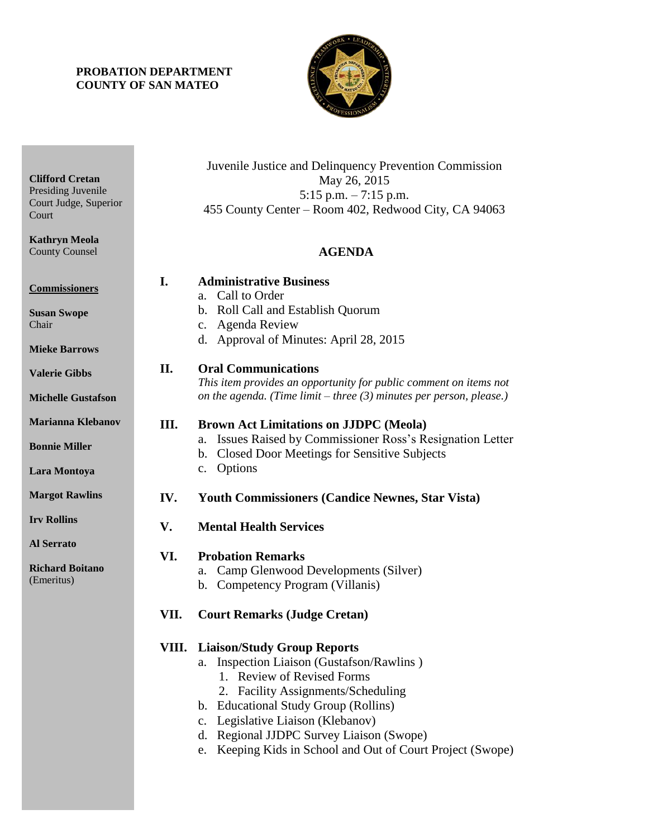## **PROBATION DEPARTMENT COUNTY OF SAN MATEO**



| <b>Clifford Cretan</b><br>Presiding Juvenile<br>Court Judge, Superior<br>Court<br><b>Kathryn Meola</b><br><b>County Counsel</b> |      | Juvenile Justice and Delinquency Prevention Commission<br>May 26, 2015<br>$5:15$ p.m. $-7:15$ p.m.<br>455 County Center – Room 402, Redwood City, CA 94063<br><b>AGENDA</b>                                                                                                                                                                               |
|---------------------------------------------------------------------------------------------------------------------------------|------|-----------------------------------------------------------------------------------------------------------------------------------------------------------------------------------------------------------------------------------------------------------------------------------------------------------------------------------------------------------|
| <b>Commissioners</b><br><b>Susan Swope</b><br>Chair<br><b>Mieke Barrows</b>                                                     | I.   | <b>Administrative Business</b><br>Call to Order<br>a.<br>b. Roll Call and Establish Quorum<br>c. Agenda Review<br>d. Approval of Minutes: April 28, 2015                                                                                                                                                                                                  |
| <b>Valerie Gibbs</b><br><b>Michelle Gustafson</b>                                                                               | II.  | <b>Oral Communications</b><br>This item provides an opportunity for public comment on items not<br>on the agenda. (Time limit – three $(3)$ minutes per person, please.)                                                                                                                                                                                  |
| <b>Marianna Klebanov</b><br><b>Bonnie Miller</b><br>Lara Montoya                                                                | Ш.   | <b>Brown Act Limitations on JJDPC (Meola)</b><br>Issues Raised by Commissioner Ross's Resignation Letter<br>a.<br><b>Closed Door Meetings for Sensitive Subjects</b><br>b.<br>Options<br>c.                                                                                                                                                               |
| <b>Margot Rawlins</b>                                                                                                           | IV.  | <b>Youth Commissioners (Candice Newnes, Star Vista)</b>                                                                                                                                                                                                                                                                                                   |
| <b>Irv Rollins</b>                                                                                                              | V.   | <b>Mental Health Services</b>                                                                                                                                                                                                                                                                                                                             |
| <b>Al Serrato</b><br><b>Richard Boitano</b><br>(Emeritus)                                                                       | VI.  | <b>Probation Remarks</b><br>Camp Glenwood Developments (Silver)<br>a.<br>Competency Program (Villanis)<br>b.                                                                                                                                                                                                                                              |
|                                                                                                                                 | VII. | <b>Court Remarks (Judge Cretan)</b>                                                                                                                                                                                                                                                                                                                       |
|                                                                                                                                 |      | <b>VIII.</b> Liaison/Study Group Reports<br>Inspection Liaison (Gustafson/Rawlins)<br>a.<br>1. Review of Revised Forms<br>2. Facility Assignments/Scheduling<br>b. Educational Study Group (Rollins)<br>Legislative Liaison (Klebanov)<br>c.<br>Regional JJDPC Survey Liaison (Swope)<br>d.<br>e. Keeping Kids in School and Out of Court Project (Swope) |